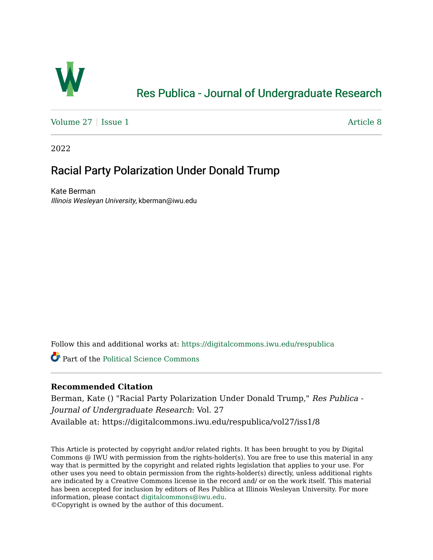

# [Res Publica - Journal of Undergraduate Research](https://digitalcommons.iwu.edu/respublica)

[Volume 27](https://digitalcommons.iwu.edu/respublica/vol27) | [Issue 1](https://digitalcommons.iwu.edu/respublica/vol27/iss1) Article 8

2022

# Racial Party Polarization Under Donald Trump

Kate Berman Illinois Wesleyan University, kberman@iwu.edu

Follow this and additional works at: [https://digitalcommons.iwu.edu/respublica](https://digitalcommons.iwu.edu/respublica?utm_source=digitalcommons.iwu.edu%2Frespublica%2Fvol27%2Fiss1%2F8&utm_medium=PDF&utm_campaign=PDFCoverPages) 

Part of the [Political Science Commons](http://network.bepress.com/hgg/discipline/386?utm_source=digitalcommons.iwu.edu%2Frespublica%2Fvol27%2Fiss1%2F8&utm_medium=PDF&utm_campaign=PDFCoverPages)

# **Recommended Citation**

Berman, Kate () "Racial Party Polarization Under Donald Trump," Res Publica - Journal of Undergraduate Research: Vol. 27 Available at: https://digitalcommons.iwu.edu/respublica/vol27/iss1/8

This Article is protected by copyright and/or related rights. It has been brought to you by Digital Commons @ IWU with permission from the rights-holder(s). You are free to use this material in any way that is permitted by the copyright and related rights legislation that applies to your use. For other uses you need to obtain permission from the rights-holder(s) directly, unless additional rights are indicated by a Creative Commons license in the record and/ or on the work itself. This material has been accepted for inclusion by editors of Res Publica at Illinois Wesleyan University. For more information, please contact [digitalcommons@iwu.edu.](mailto:digitalcommons@iwu.edu)

©Copyright is owned by the author of this document.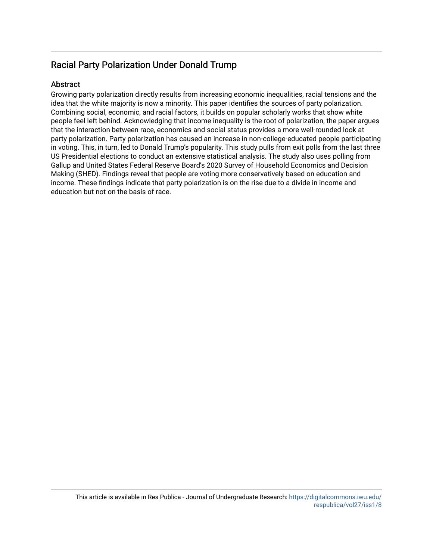# Racial Party Polarization Under Donald Trump

# **Abstract**

Growing party polarization directly results from increasing economic inequalities, racial tensions and the idea that the white majority is now a minority. This paper identifies the sources of party polarization. Combining social, economic, and racial factors, it builds on popular scholarly works that show white people feel left behind. Acknowledging that income inequality is the root of polarization, the paper argues that the interaction between race, economics and social status provides a more well-rounded look at party polarization. Party polarization has caused an increase in non-college-educated people participating in voting. This, in turn, led to Donald Trump's popularity. This study pulls from exit polls from the last three US Presidential elections to conduct an extensive statistical analysis. The study also uses polling from Gallup and United States Federal Reserve Board's 2020 Survey of Household Economics and Decision Making (SHED). Findings reveal that people are voting more conservatively based on education and income. These findings indicate that party polarization is on the rise due to a divide in income and education but not on the basis of race.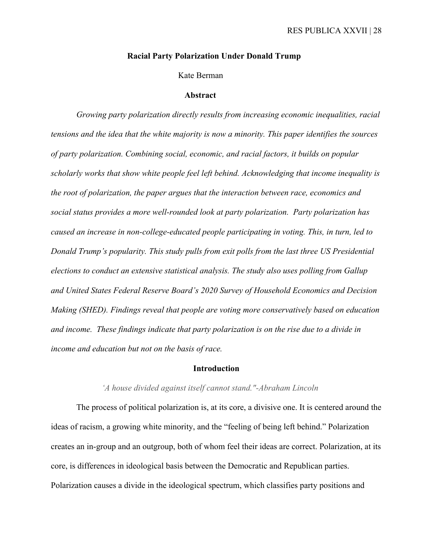# **Racial Party Polarization Under Donald Trump**

# Kate Berman

#### **Abstract**

*Growing party polarization directly results from increasing economic inequalities, racial tensions and the idea that the white majority is now a minority. This paper identifies the sources of party polarization. Combining social, economic, and racial factors, it builds on popular scholarly works that show white people feel left behind. Acknowledging that income inequality is the root of polarization, the paper argues that the interaction between race, economics and social status provides a more well-rounded look at party polarization. Party polarization has caused an increase in non-college-educated people participating in voting. This, in turn, led to Donald Trump's popularity. This study pulls from exit polls from the last three US Presidential elections to conduct an extensive statistical analysis. The study also uses polling from Gallup and United States Federal Reserve Board's 2020 Survey of Household Economics and Decision Making (SHED). Findings reveal that people are voting more conservatively based on education and income. These findings indicate that party polarization is on the rise due to a divide in income and education but not on the basis of race.*

#### **Introduction**

# *'A house divided against itself cannot stand."-Abraham Lincoln*

The process of political polarization is, at its core, a divisive one. It is centered around the ideas of racism, a growing white minority, and the "feeling of being left behind." Polarization creates an in-group and an outgroup, both of whom feel their ideas are correct. Polarization, at its core, is differences in ideological basis between the Democratic and Republican parties. Polarization causes a divide in the ideological spectrum, which classifies party positions and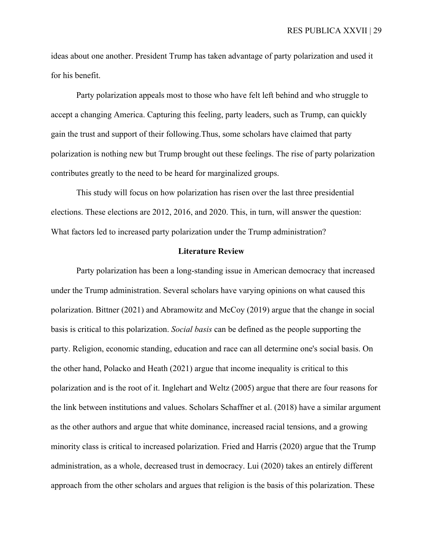ideas about one another. President Trump has taken advantage of party polarization and used it for his benefit.

Party polarization appeals most to those who have felt left behind and who struggle to accept a changing America. Capturing this feeling, party leaders, such as Trump, can quickly gain the trust and support of their following.Thus, some scholars have claimed that party polarization is nothing new but Trump brought out these feelings. The rise of party polarization contributes greatly to the need to be heard for marginalized groups.

This study will focus on how polarization has risen over the last three presidential elections. These elections are 2012, 2016, and 2020. This, in turn, will answer the question: What factors led to increased party polarization under the Trump administration?

#### **Literature Review**

Party polarization has been a long-standing issue in American democracy that increased under the Trump administration. Several scholars have varying opinions on what caused this polarization. Bittner (2021) and Abramowitz and McCoy (2019) argue that the change in social basis is critical to this polarization. *Social basis* can be defined as the people supporting the party. Religion, economic standing, education and race can all determine one's social basis. On the other hand, Polacko and Heath (2021) argue that income inequality is critical to this polarization and is the root of it. Inglehart and Weltz (2005) argue that there are four reasons for the link between institutions and values. Scholars Schaffner et al. (2018) have a similar argument as the other authors and argue that white dominance, increased racial tensions, and a growing minority class is critical to increased polarization. Fried and Harris (2020) argue that the Trump administration, as a whole, decreased trust in democracy. Lui (2020) takes an entirely different approach from the other scholars and argues that religion is the basis of this polarization. These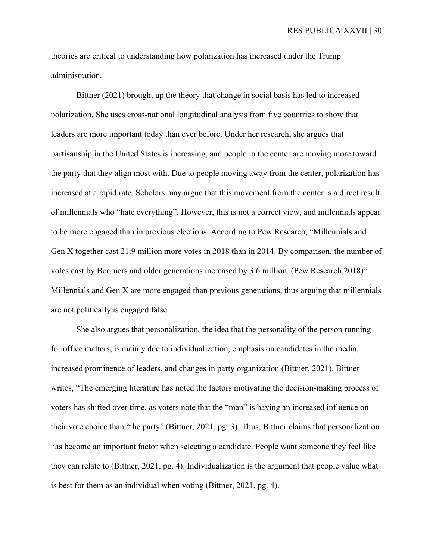theories are critical to understanding how polarization has increased under the Trump administration.

Bittner (2021) brought up the theory that change in social basis has led to increased polarization. She uses cross-national longitudinal analysis from five countries to show that leaders are more important today than ever before. Under her research, she argues that partisanship in the United States is increasing, and people in the center are moving more toward the party that they align most with. Due to people moving away from the center, polarization has increased at a rapid rate. Scholars may argue that this movement from the center is a direct result of millennials who "hate everything". However, this is not a correct view, and millennials appear to be more engaged than in previous elections. According to Pew Research, "Millennials and Gen X together cast 21.9 million more votes in 2018 than in 2014. By comparison, the number of votes cast by Boomers and older generations increased by 3.6 million. (Pew Research,2018)" Millennials and Gen X are more engaged than previous generations, thus arguing that millennials are not politically is engaged false.

 She also argues that personalization, the idea that the personality of the person running for office matters, is mainly due to individualization, emphasis on candidates in the media, increased prominence of leaders, and changes in party organization (Bittner, 2021). Bittner writes, "The emerging literature has noted the factors motivating the decision-making process of voters has shifted over time, as voters note that the "man" is having an increased influence on their vote choice than "the party" (Bittner, 2021, pg. 3). Thus, Bittner claims that personalization has become an important factor when selecting a candidate. People want someone they feel like they can relate to (Bittner, 2021, pg. 4). Individualization is the argument that people value what is best for them as an individual when voting (Bittner, 2021, pg. 4).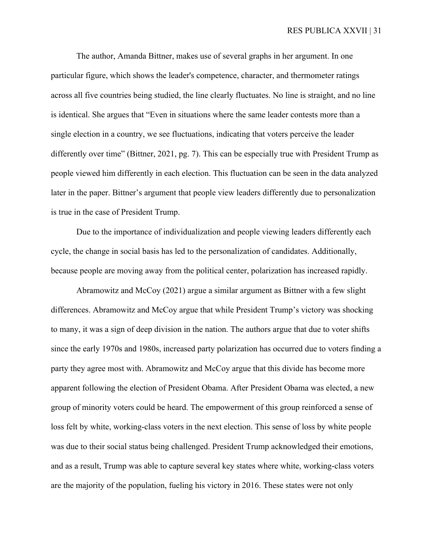The author, Amanda Bittner, makes use of several graphs in her argument. In one particular figure, which shows the leader's competence, character, and thermometer ratings across all five countries being studied, the line clearly fluctuates. No line is straight, and no line is identical. She argues that "Even in situations where the same leader contests more than a single election in a country, we see fluctuations, indicating that voters perceive the leader differently over time" (Bittner, 2021, pg. 7). This can be especially true with President Trump as people viewed him differently in each election. This fluctuation can be seen in the data analyzed later in the paper. Bittner's argument that people view leaders differently due to personalization is true in the case of President Trump.

Due to the importance of individualization and people viewing leaders differently each cycle, the change in social basis has led to the personalization of candidates. Additionally, because people are moving away from the political center, polarization has increased rapidly.

Abramowitz and McCoy (2021) argue a similar argument as Bittner with a few slight differences. Abramowitz and McCoy argue that while President Trump's victory was shocking to many, it was a sign of deep division in the nation. The authors argue that due to voter shifts since the early 1970s and 1980s, increased party polarization has occurred due to voters finding a party they agree most with. Abramowitz and McCoy argue that this divide has become more apparent following the election of President Obama. After President Obama was elected, a new group of minority voters could be heard. The empowerment of this group reinforced a sense of loss felt by white, working-class voters in the next election. This sense of loss by white people was due to their social status being challenged. President Trump acknowledged their emotions, and as a result, Trump was able to capture several key states where white, working-class voters are the majority of the population, fueling his victory in 2016. These states were not only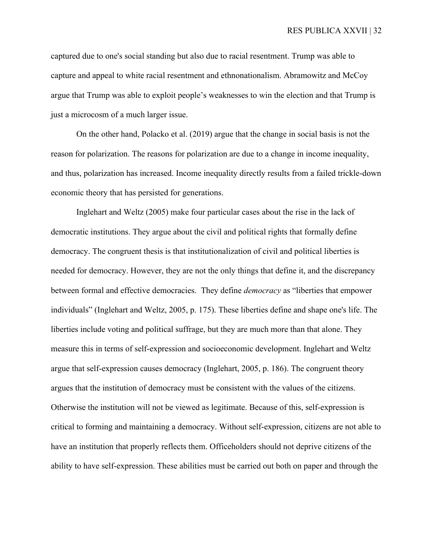captured due to one's social standing but also due to racial resentment. Trump was able to capture and appeal to white racial resentment and ethnonationalism. Abramowitz and McCoy argue that Trump was able to exploit people's weaknesses to win the election and that Trump is just a microcosm of a much larger issue.

On the other hand, Polacko et al. (2019) argue that the change in social basis is not the reason for polarization. The reasons for polarization are due to a change in income inequality, and thus, polarization has increased. Income inequality directly results from a failed trickle-down economic theory that has persisted for generations.

Inglehart and Weltz (2005) make four particular cases about the rise in the lack of democratic institutions. They argue about the civil and political rights that formally define democracy. The congruent thesis is that institutionalization of civil and political liberties is needed for democracy. However, they are not the only things that define it, and the discrepancy between formal and effective democracies. They define *democracy* as "liberties that empower individuals" (Inglehart and Weltz, 2005, p. 175). These liberties define and shape one's life. The liberties include voting and political suffrage, but they are much more than that alone. They measure this in terms of self-expression and socioeconomic development. Inglehart and Weltz argue that self-expression causes democracy (Inglehart, 2005, p. 186). The congruent theory argues that the institution of democracy must be consistent with the values of the citizens. Otherwise the institution will not be viewed as legitimate. Because of this, self-expression is critical to forming and maintaining a democracy. Without self-expression, citizens are not able to have an institution that properly reflects them. Officeholders should not deprive citizens of the ability to have self-expression. These abilities must be carried out both on paper and through the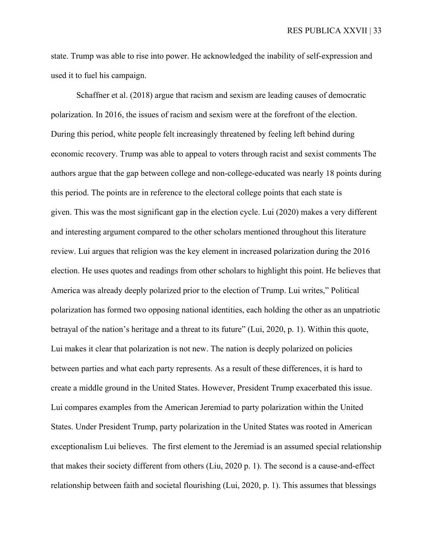state. Trump was able to rise into power. He acknowledged the inability of self-expression and used it to fuel his campaign.

Schaffner et al. (2018) argue that racism and sexism are leading causes of democratic polarization. In 2016, the issues of racism and sexism were at the forefront of the election. During this period, white people felt increasingly threatened by feeling left behind during economic recovery. Trump was able to appeal to voters through racist and sexist comments The authors argue that the gap between college and non-college-educated was nearly 18 points during this period. The points are in reference to the electoral college points that each state is given. This was the most significant gap in the election cycle. Lui (2020) makes a very different and interesting argument compared to the other scholars mentioned throughout this literature review. Lui argues that religion was the key element in increased polarization during the 2016 election. He uses quotes and readings from other scholars to highlight this point. He believes that America was already deeply polarized prior to the election of Trump. Lui writes," Political polarization has formed two opposing national identities, each holding the other as an unpatriotic betrayal of the nation's heritage and a threat to its future" (Lui, 2020, p. 1). Within this quote, Lui makes it clear that polarization is not new. The nation is deeply polarized on policies between parties and what each party represents. As a result of these differences, it is hard to create a middle ground in the United States. However, President Trump exacerbated this issue. Lui compares examples from the American Jeremiad to party polarization within the United States. Under President Trump, party polarization in the United States was rooted in American exceptionalism Lui believes. The first element to the Jeremiad is an assumed special relationship that makes their society different from others (Liu, 2020 p. 1). The second is a cause-and-effect relationship between faith and societal flourishing (Lui, 2020, p. 1). This assumes that blessings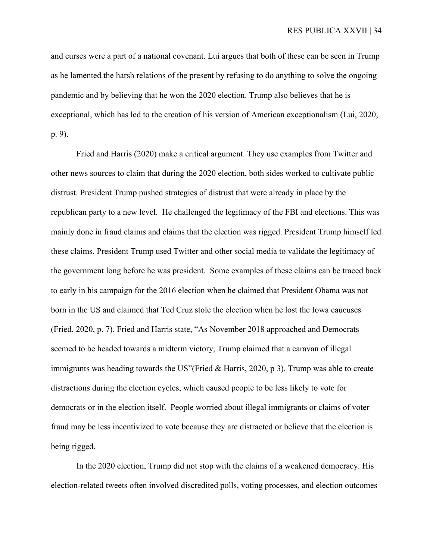and curses were a part of a national covenant. Lui argues that both of these can be seen in Trump as he lamented the harsh relations of the present by refusing to do anything to solve the ongoing pandemic and by believing that he won the 2020 election. Trump also believes that he is exceptional, which has led to the creation of his version of American exceptionalism (Lui, 2020, p. 9).

Fried and Harris (2020) make a critical argument. They use examples from Twitter and other news sources to claim that during the 2020 election, both sides worked to cultivate public distrust. President Trump pushed strategies of distrust that were already in place by the republican party to a new level. He challenged the legitimacy of the FBI and elections. This was mainly done in fraud claims and claims that the election was rigged. President Trump himself led these claims. President Trump used Twitter and other social media to validate the legitimacy of the government long before he was president. Some examples of these claims can be traced back to early in his campaign for the 2016 election when he claimed that President Obama was not born in the US and claimed that Ted Cruz stole the election when he lost the Iowa caucuses (Fried, 2020, p. 7). Fried and Harris state, "As November 2018 approached and Democrats seemed to be headed towards a midterm victory, Trump claimed that a caravan of illegal immigrants was heading towards the US"(Fried & Harris, 2020, p 3). Trump was able to create distractions during the election cycles, which caused people to be less likely to vote for democrats or in the election itself. People worried about illegal immigrants or claims of voter fraud may be less incentivized to vote because they are distracted or believe that the election is being rigged.

In the 2020 election, Trump did not stop with the claims of a weakened democracy. His election-related tweets often involved discredited polls, voting processes, and election outcomes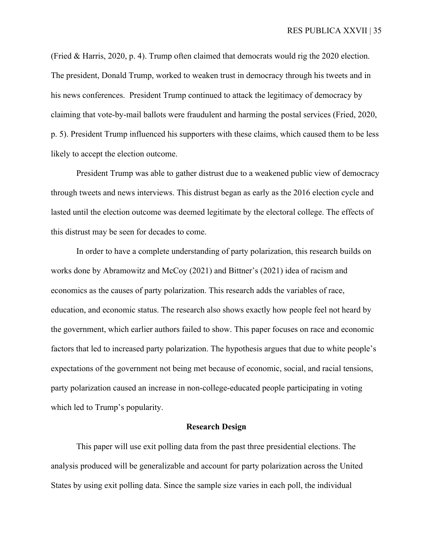(Fried & Harris, 2020, p. 4). Trump often claimed that democrats would rig the 2020 election. The president, Donald Trump, worked to weaken trust in democracy through his tweets and in his news conferences. President Trump continued to attack the legitimacy of democracy by claiming that vote-by-mail ballots were fraudulent and harming the postal services (Fried, 2020, p. 5). President Trump influenced his supporters with these claims, which caused them to be less likely to accept the election outcome.

President Trump was able to gather distrust due to a weakened public view of democracy through tweets and news interviews. This distrust began as early as the 2016 election cycle and lasted until the election outcome was deemed legitimate by the electoral college. The effects of this distrust may be seen for decades to come.

In order to have a complete understanding of party polarization, this research builds on works done by Abramowitz and McCoy (2021) and Bittner's (2021) idea of racism and economics as the causes of party polarization. This research adds the variables of race, education, and economic status. The research also shows exactly how people feel not heard by the government, which earlier authors failed to show. This paper focuses on race and economic factors that led to increased party polarization. The hypothesis argues that due to white people's expectations of the government not being met because of economic, social, and racial tensions, party polarization caused an increase in non-college-educated people participating in voting which led to Trump's popularity.

# **Research Design**

This paper will use exit polling data from the past three presidential elections. The analysis produced will be generalizable and account for party polarization across the United States by using exit polling data. Since the sample size varies in each poll, the individual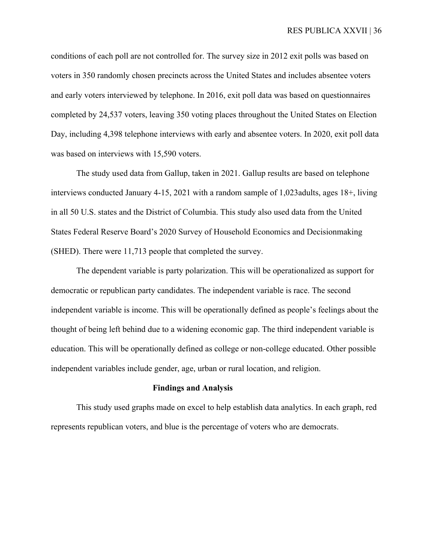conditions of each poll are not controlled for. The survey size in 2012 exit polls was based on voters in 350 randomly chosen precincts across the United States and includes absentee voters and early voters interviewed by telephone. In 2016, exit poll data was based on questionnaires completed by 24,537 voters, leaving 350 voting places throughout the United States on Election Day, including 4,398 telephone interviews with early and absentee voters. In 2020, exit poll data was based on interviews with 15,590 voters.

The study used data from Gallup, taken in 2021. Gallup results are based on telephone interviews conducted January 4-15, 2021 with a random sample of 1,023adults, ages 18+, living in all 50 U.S. states and the District of Columbia. This study also used data from the United States Federal Reserve Board's 2020 Survey of Household Economics and Decisionmaking (SHED). There were 11,713 people that completed the survey.

The dependent variable is party polarization. This will be operationalized as support for democratic or republican party candidates. The independent variable is race. The second independent variable is income. This will be operationally defined as people's feelings about the thought of being left behind due to a widening economic gap. The third independent variable is education. This will be operationally defined as college or non-college educated. Other possible independent variables include gender, age, urban or rural location, and religion.

## **Findings and Analysis**

This study used graphs made on excel to help establish data analytics. In each graph, red represents republican voters, and blue is the percentage of voters who are democrats.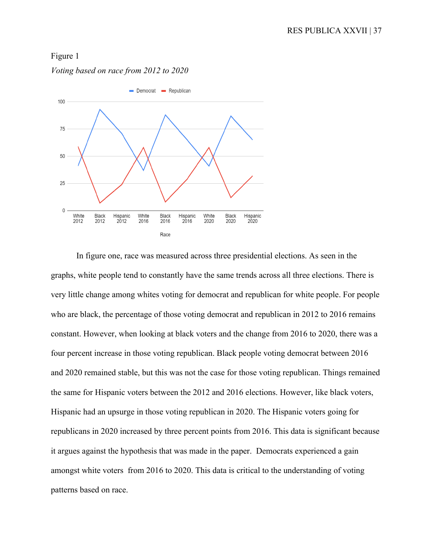# Figure 1

*Voting based on race from 2012 to 2020*



In figure one, race was measured across three presidential elections. As seen in the graphs, white people tend to constantly have the same trends across all three elections. There is very little change among whites voting for democrat and republican for white people. For people who are black, the percentage of those voting democrat and republican in 2012 to 2016 remains constant. However, when looking at black voters and the change from 2016 to 2020, there was a four percent increase in those voting republican. Black people voting democrat between 2016 and 2020 remained stable, but this was not the case for those voting republican. Things remained the same for Hispanic voters between the 2012 and 2016 elections. However, like black voters, Hispanic had an upsurge in those voting republican in 2020. The Hispanic voters going for republicans in 2020 increased by three percent points from 2016. This data is significant because it argues against the hypothesis that was made in the paper. Democrats experienced a gain amongst white voters from 2016 to 2020. This data is critical to the understanding of voting patterns based on race.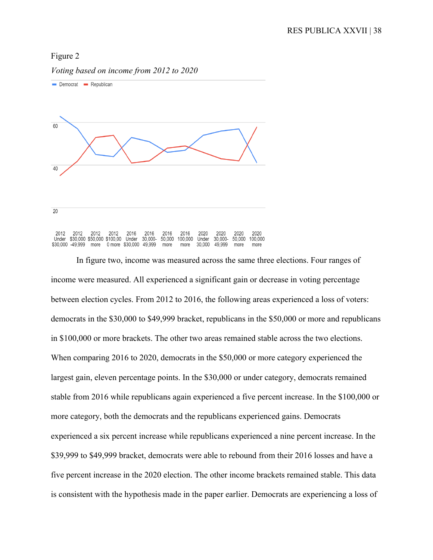## Figure 2



*Voting based on income from 2012 to 2020*

In figure two, income was measured across the same three elections. Four ranges of income were measured. All experienced a significant gain or decrease in voting percentage between election cycles. From 2012 to 2016, the following areas experienced a loss of voters: democrats in the \$30,000 to \$49,999 bracket, republicans in the \$50,000 or more and republicans in \$100,000 or more brackets. The other two areas remained stable across the two elections. When comparing 2016 to 2020, democrats in the \$50,000 or more category experienced the largest gain, eleven percentage points. In the \$30,000 or under category, democrats remained stable from 2016 while republicans again experienced a five percent increase. In the \$100,000 or more category, both the democrats and the republicans experienced gains. Democrats experienced a six percent increase while republicans experienced a nine percent increase. In the \$39,999 to \$49,999 bracket, democrats were able to rebound from their 2016 losses and have a five percent increase in the 2020 election. The other income brackets remained stable. This data is consistent with the hypothesis made in the paper earlier. Democrats are experiencing a loss of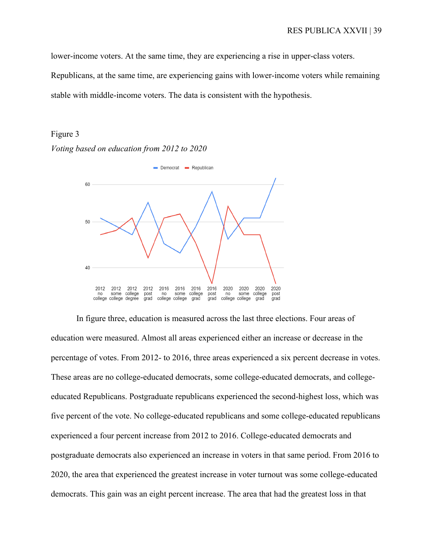lower-income voters. At the same time, they are experiencing a rise in upper-class voters.

Republicans, at the same time, are experiencing gains with lower-income voters while remaining stable with middle-income voters. The data is consistent with the hypothesis.

## Figure 3

*Voting based on education from 2012 to 2020*



In figure three, education is measured across the last three elections. Four areas of education were measured. Almost all areas experienced either an increase or decrease in the percentage of votes. From 2012- to 2016, three areas experienced a six percent decrease in votes. These areas are no college-educated democrats, some college-educated democrats, and collegeeducated Republicans. Postgraduate republicans experienced the second-highest loss, which was five percent of the vote. No college-educated republicans and some college-educated republicans experienced a four percent increase from 2012 to 2016. College-educated democrats and postgraduate democrats also experienced an increase in voters in that same period. From 2016 to 2020, the area that experienced the greatest increase in voter turnout was some college-educated democrats. This gain was an eight percent increase. The area that had the greatest loss in that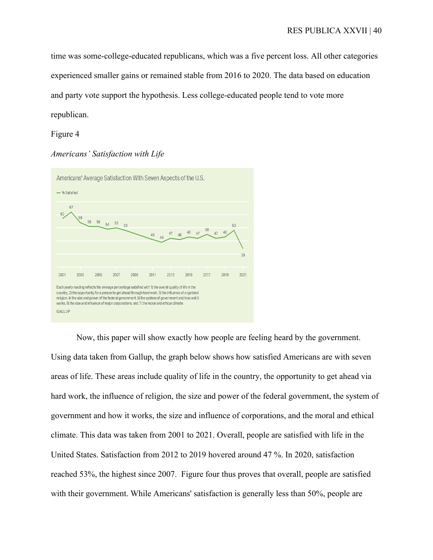time was some-college-educated republicans, which was a five percent loss. All other categories experienced smaller gains or remained stable from 2016 to 2020. The data based on education and party vote support the hypothesis. Less college-educated people tend to vote more republican.

## Figure 4

### *Americans' Satisfaction with Life*



Now, this paper will show exactly how people are feeling heard by the government. Using data taken from Gallup, the graph below shows how satisfied Americans are with seven areas of life. These areas include quality of life in the country, the opportunity to get ahead via hard work, the influence of religion, the size and power of the federal government, the system of government and how it works, the size and influence of corporations, and the moral and ethical climate. This data was taken from 2001 to 2021. Overall, people are satisfied with life in the United States. Satisfaction from 2012 to 2019 hovered around 47 %. In 2020, satisfaction reached 53%, the highest since 2007. Figure four thus proves that overall, people are satisfied with their government. While Americans' satisfaction is generally less than 50%, people are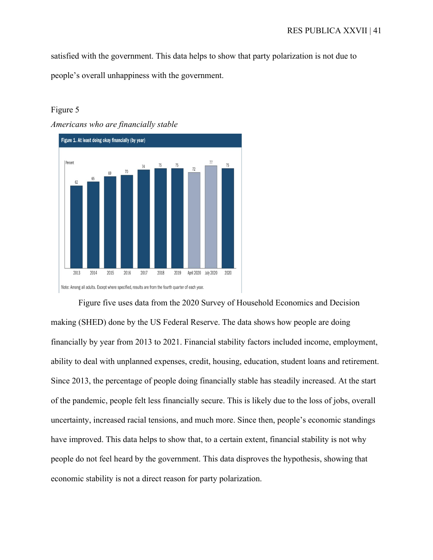satisfied with the government. This data helps to show that party polarization is not due to people's overall unhappiness with the government.

# Figure 5



Figure five uses data from the 2020 Survey of Household Economics and Decision making (SHED) done by the US Federal Reserve. The data shows how people are doing financially by year from 2013 to 2021. Financial stability factors included income, employment, ability to deal with unplanned expenses, credit, housing, education, student loans and retirement. Since 2013, the percentage of people doing financially stable has steadily increased. At the start of the pandemic, people felt less financially secure. This is likely due to the loss of jobs, overall uncertainty, increased racial tensions, and much more. Since then, people's economic standings have improved. This data helps to show that, to a certain extent, financial stability is not why people do not feel heard by the government. This data disproves the hypothesis, showing that economic stability is not a direct reason for party polarization.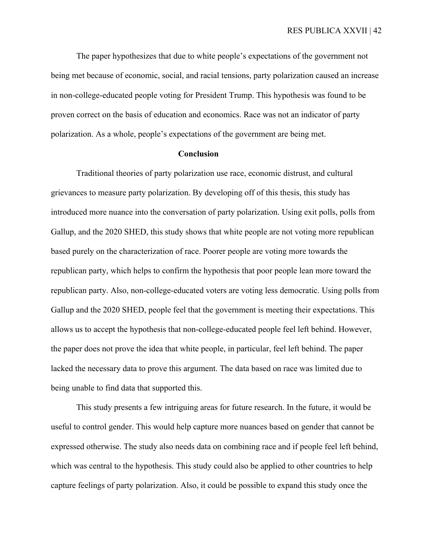RES PUBLICA XXVII | 42

The paper hypothesizes that due to white people's expectations of the government not being met because of economic, social, and racial tensions, party polarization caused an increase in non-college-educated people voting for President Trump. This hypothesis was found to be proven correct on the basis of education and economics. Race was not an indicator of party polarization. As a whole, people's expectations of the government are being met.

#### **Conclusion**

Traditional theories of party polarization use race, economic distrust, and cultural grievances to measure party polarization. By developing off of this thesis, this study has introduced more nuance into the conversation of party polarization. Using exit polls, polls from Gallup, and the 2020 SHED, this study shows that white people are not voting more republican based purely on the characterization of race. Poorer people are voting more towards the republican party, which helps to confirm the hypothesis that poor people lean more toward the republican party. Also, non-college-educated voters are voting less democratic. Using polls from Gallup and the 2020 SHED, people feel that the government is meeting their expectations. This allows us to accept the hypothesis that non-college-educated people feel left behind. However, the paper does not prove the idea that white people, in particular, feel left behind. The paper lacked the necessary data to prove this argument. The data based on race was limited due to being unable to find data that supported this.

This study presents a few intriguing areas for future research. In the future, it would be useful to control gender. This would help capture more nuances based on gender that cannot be expressed otherwise. The study also needs data on combining race and if people feel left behind, which was central to the hypothesis. This study could also be applied to other countries to help capture feelings of party polarization. Also, it could be possible to expand this study once the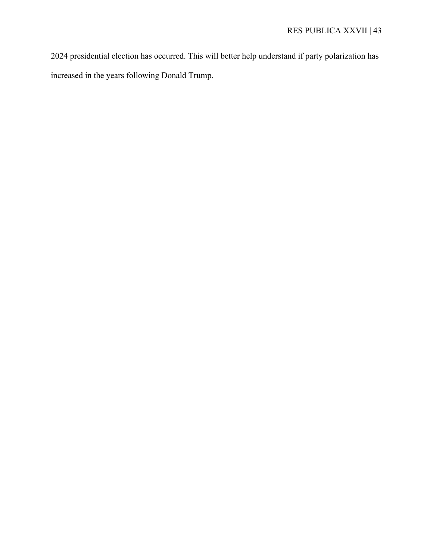2024 presidential election has occurred. This will better help understand if party polarization has increased in the years following Donald Trump.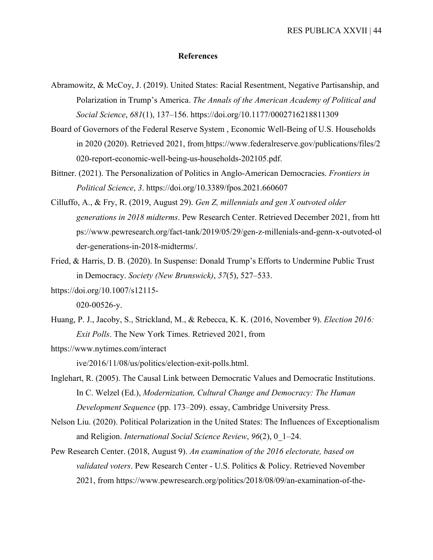## **References**

- Abramowitz, & McCoy, J. (2019). United States: Racial Resentment, Negative Partisanship, and Polarization in Trump's America. *The Annals of the American Academy of Political and Social Science*, *681*(1), 137–156. https://doi.org/10.1177/0002716218811309
- Board of Governors of the Federal Reserve System , Economic Well-Being of U.S. Households in 2020 (2020). Retrieved 2021, from https://www.federalreserve.gov/publications/files/2 020-report-economic-well-being-us-households-202105.pdf.
- Bittner. (2021). The Personalization of Politics in Anglo-American Democracies. *Frontiers in Political Science*, *3*. https://doi.org/10.3389/fpos.2021.660607
- Cilluffo, A., & Fry, R. (2019, August 29). *Gen Z, millennials and gen X outvoted older generations in 2018 midterms*. Pew Research Center. Retrieved December 2021, from htt ps://www.pewresearch.org/fact-tank/2019/05/29/gen-z-millenials-and-genn-x-outvoted-ol der-generations-in-2018-midterms/.
- Fried, & Harris, D. B. (2020). In Suspense: Donald Trump's Efforts to Undermine Public Trust in Democracy. *Society (New Brunswick)*, *57*(5), 527–533.
- https://doi.org/10.1007/s12115-

020-00526-y.

- Huang, P. J., Jacoby, S., Strickland, M., & Rebecca, K. K. (2016, November 9). *Election 2016: Exit Polls*. The New York Times. Retrieved 2021, from
- https://www.nytimes.com/interact

ive/2016/11/08/us/politics/election-exit-polls.html.

- Inglehart, R. (2005). The Causal Link between Democratic Values and Democratic Institutions. In C. Welzel (Ed.), *Modernization, Cultural Change and Democracy: The Human Development Sequence* (pp. 173–209). essay, Cambridge University Press.
- Nelson Liu. (2020). Political Polarization in the United States: The Influences of Exceptionalism and Religion. *International Social Science Review*, *96*(2), 0\_1–24.
- Pew Research Center. (2018, August 9). *An examination of the 2016 electorate, based on validated voters*. Pew Research Center - U.S. Politics & Policy. Retrieved November 2021, from https://www.pewresearch.org/politics/2018/08/09/an-examination-of-the-